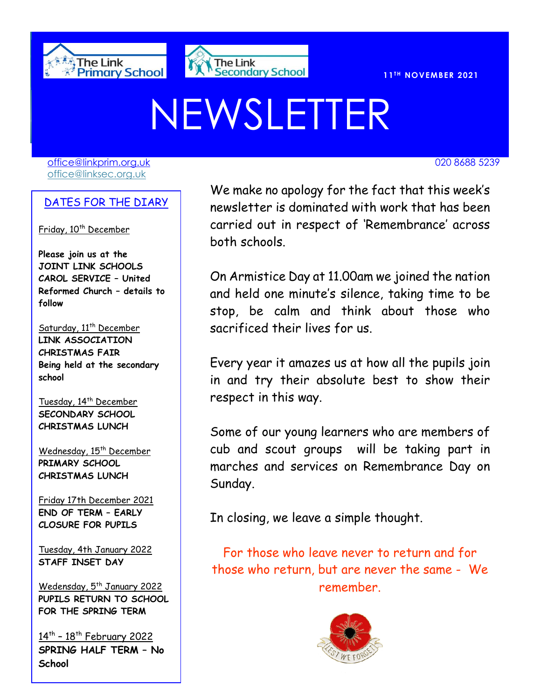



# NEWSLETTER

[office@linkprim.org.uk](mailto:office@linkprim.org.uk) 020 8688 5239 office@linksec.org.uk

#### DATES FOR THE DIARY

Friday, 10<sup>th</sup> December

**Please join us at the JOINT LINK SCHOOLS CAROL SERVICE – United Reformed Church – details to follow**

Saturday, 11<sup>th</sup> December **LINK ASSOCIATION CHRISTMAS FAIR Being held at the secondary school** 

Tuesday, 14<sup>th</sup> December **SECONDARY SCHOOL CHRISTMAS LUNCH**

Wednesday, 15<sup>th</sup> December **PRIMARY SCHOOL CHRISTMAS LUNCH**

Friday 17th December 2021 **END OF TERM – EARLY CLOSURE FOR PUPILS**

Tuesday, 4th January 2022 **STAFF INSET DAY**

Wedensday, 5<sup>th</sup> January 2022 **PUPILS RETURN TO SCHOOL FOR THE SPRING TERM**

14<sup>th</sup> - 18<sup>th</sup> February 2022 **SPRING HALF TERM – No School**

We make no apology for the fact that this week's newsletter is dominated with work that has been carried out in respect of 'Remembrance' across both schools.

> On Armistice Day at 11.00am we joined the nation and held one minute's silence, taking time to be stop, be calm and think about those who sacrificed their lives for us.

> Every year it amazes us at how all the pupils join in and try their absolute best to show their respect in this way.

> Some of our young learners who are members of cub and scout groups will be taking part in marches and services on Remembrance Day on Sunday.

In closing, we leave a simple thought.

For those who leave never to return and for those who return, but are never the same - We remember.

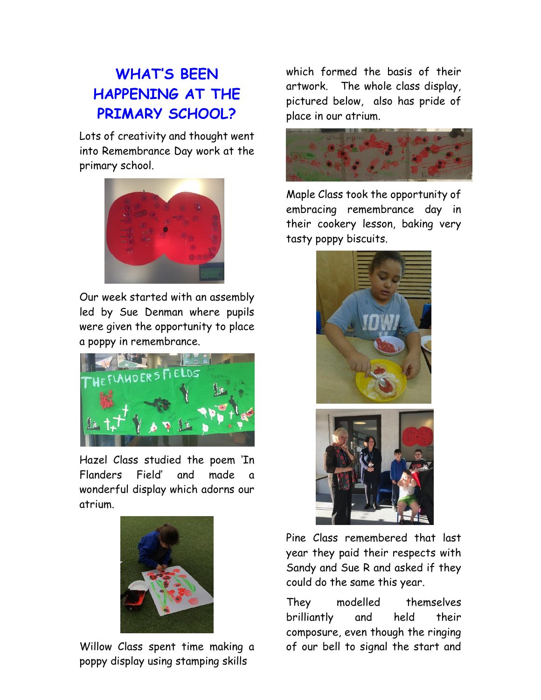# **WHAT'S BEEN HAPPENING AT THE PRIMARY SCHOOL?**

Lots of creativity and thought went into Remembrance Day work at the primary school.



Our week started with an assembly led by Sue Denman where pupils were given the opportunity to place a poppy in remembrance.



Hazel Class studied the poem 'In Flanders Field' and made a wonderful display which adorns our atrium.



Willow Class spent time making a poppy display using stamping skills

which formed the basis of their artwork. The whole class display, pictured below, also has pride of place in our atrium.



Maple Class took the opportunity of embracing remembrance day in their cookery lesson, baking very tasty poppy biscuits.





Pine Class remembered that last year they paid their respects with Sandy and Sue R and asked if they could do the same this year.

They modelled themselves brilliantly and held their composure, even though the ringing of our bell to signal the start and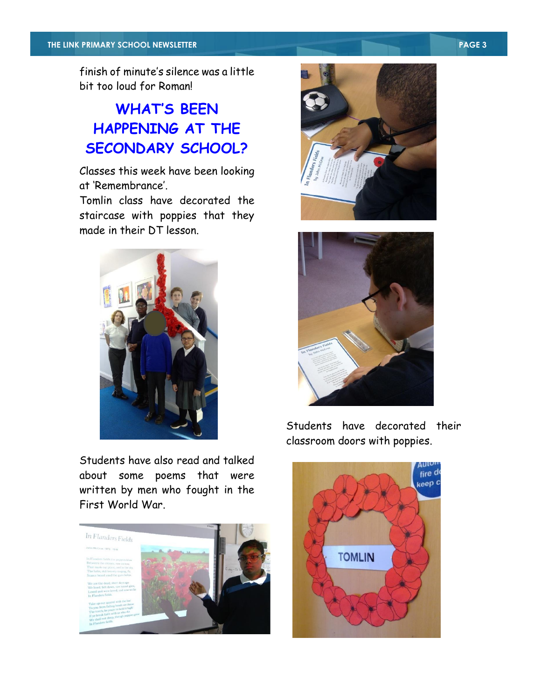finish of minute's silence was a little bit too loud for Roman!

## **WHAT'S BEEN HAPPENING AT THE SECONDARY SCHOOL?**

Classes this week have been looking at 'Remembrance'.

Tomlin class have decorated the staircase with poppies that they made in their DT lesson.



Students have also read and talked about some poems that were written by men who fought in the First World War.







Students have decorated their classroom doors with poppies.

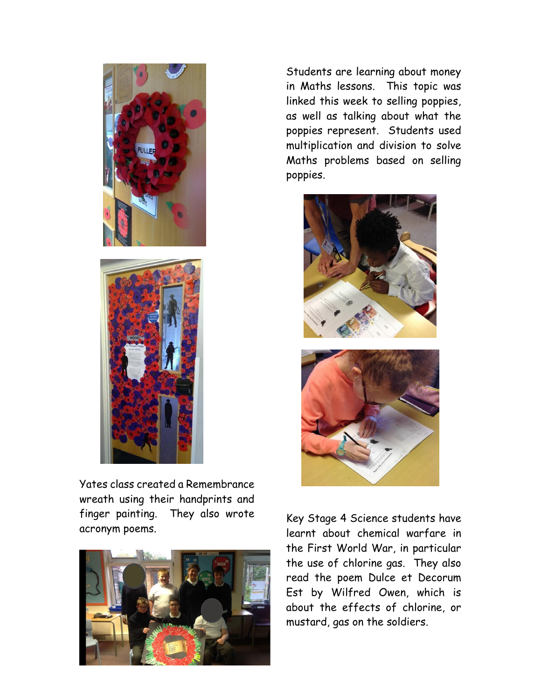



Yates class created a Remembrance wreath using their handprints and finger painting. They also wrote acronym poems.



Students are learning about money in Maths lessons. This topic was linked this week to selling poppies, as well as talking about what the poppies represent. Students used multiplication and division to solve Maths problems based on selling poppies.



Key Stage 4 Science students have learnt about chemical warfare in the First World War, in particular the use of chlorine gas. They also read the poem Dulce et Decorum Est by Wilfred Owen, which is about the effects of chlorine, or mustard, gas on the soldiers.